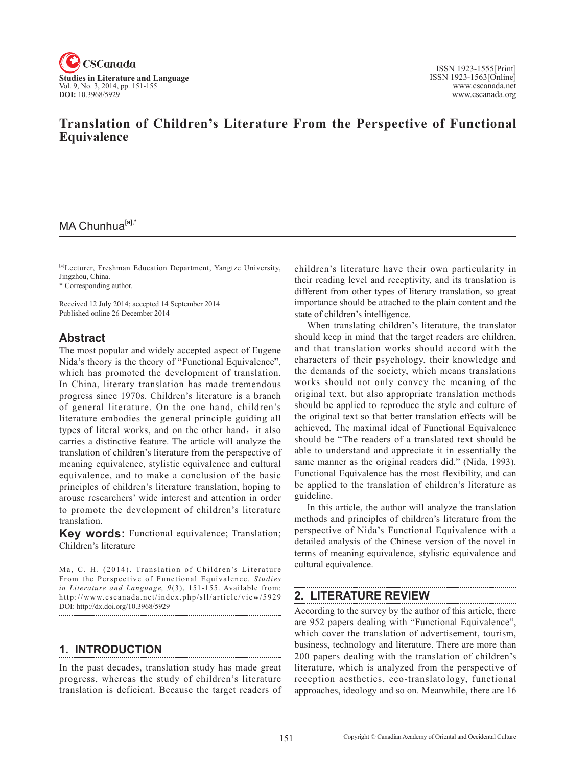

# **Translation of Children's Literature From the Perspective of Functional Equivalence**

# MA Chunhua<sup>[a],\*</sup>

[a]Lecturer, Freshman Education Department, Yangtze University, Jingzhou, China.

\* Corresponding author.

Received 12 July 2014; accepted 14 September 2014 Published online 26 December 2014

## **Abstract**

The most popular and widely accepted aspect of Eugene Nida's theory is the theory of "Functional Equivalence", which has promoted the development of translation. In China, literary translation has made tremendous progress since 1970s. Children's literature is a branch of general literature. On the one hand, children's literature embodies the general principle guiding all types of literal works, and on the other hand, it also carries a distinctive feature. The article will analyze the translation of children's literature from the perspective of meaning equivalence, stylistic equivalence and cultural equivalence, and to make a conclusion of the basic principles of children's literature translation, hoping to arouse researchers' wide interest and attention in order to promote the development of children's literature translation.

**Key words:** Functional equivalence; Translation; Children's literature

Ma, C. H. (2014). Translation of Children's Literature From the Perspective of Functional Equivalence. *Studies in Literature and Language*,  $9(3)$ , 151-155. Available from: http://www.cscanada.net/index.php/sll/article/view/5929 DOI: http://dx.doi.org/10.3968/5929

# **1. INTRODUCTION**

In the past decades, translation study has made great progress, whereas the study of children's literature translation is deficient. Because the target readers of children's literature have their own particularity in their reading level and receptivity, and its translation is different from other types of literary translation, so great importance should be attached to the plain content and the state of children's intelligence.

When translating children's literature, the translator should keep in mind that the target readers are children, and that translation works should accord with the characters of their psychology, their knowledge and the demands of the society, which means translations works should not only convey the meaning of the original text, but also appropriate translation methods should be applied to reproduce the style and culture of the original text so that better translation effects will be achieved. The maximal ideal of Functional Equivalence should be "The readers of a translated text should be able to understand and appreciate it in essentially the same manner as the original readers did." (Nida, 1993). Functional Equivalence has the most flexibility, and can be applied to the translation of children's literature as guideline.

In this article, the author will analyze the translation methods and principles of children's literature from the perspective of Nida's Functional Equivalence with a detailed analysis of the Chinese version of the novel in terms of meaning equivalence, stylistic equivalence and cultural equivalence.

# **2. LITERATURE REVIEW**

According to the survey by the author of this article, there are 952 papers dealing with "Functional Equivalence", which cover the translation of advertisement, tourism, business, technology and literature. There are more than 200 papers dealing with the translation of children's literature, which is analyzed from the perspective of reception aesthetics, eco-translatology, functional approaches, ideology and so on. Meanwhile, there are 16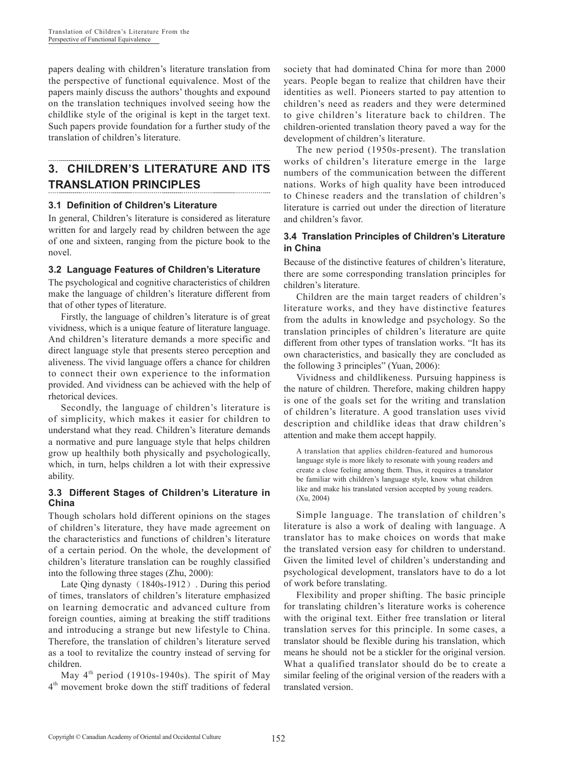papers dealing with children's literature translation from the perspective of functional equivalence. Most of the papers mainly discuss the authors' thoughts and expound on the translation techniques involved seeing how the childlike style of the original is kept in the target text. Such papers provide foundation for a further study of the translation of children's literature.

# **3. CHILDREN'S LITERATURE AND ITS TRANSLATION PRINCIPLES**

## **3.1 Definition of Children's Literature**

In general, Children's literature is considered as literature written for and largely read by children between the age of one and sixteen, ranging from the picture book to the novel.

### **3.2 Language Features of Children's Literature**

The psychological and cognitive characteristics of children make the language of children's literature different from that of other types of literature.

Firstly, the language of children's literature is of great vividness, which is a unique feature of literature language. And children's literature demands a more specific and direct language style that presents stereo perception and aliveness. The vivid language offers a chance for children to connect their own experience to the information provided. And vividness can be achieved with the help of rhetorical devices.

Secondly, the language of children's literature is of simplicity, which makes it easier for children to understand what they read. Children's literature demands a normative and pure language style that helps children grow up healthily both physically and psychologically, which, in turn, helps children a lot with their expressive ability.

### **3.3 Different Stages of Children's Literature in China**

Though scholars hold different opinions on the stages of children's literature, they have made agreement on the characteristics and functions of children's literature of a certain period. On the whole, the development of children's literature translation can be roughly classified into the following three stages (Zhu, 2000):

Late Qing dynasty (1840s-1912). During this period of times, translators of children's literature emphasized on learning democratic and advanced culture from foreign counties, aiming at breaking the stiff traditions and introducing a strange but new lifestyle to China. Therefore, the translation of children's literature served as a tool to revitalize the country instead of serving for children.

May  $4<sup>th</sup>$  period (1910s-1940s). The spirit of May  $4<sup>th</sup>$  movement broke down the stiff traditions of federal society that had dominated China for more than 2000 years. People began to realize that children have their identities as well. Pioneers started to pay attention to children's need as readers and they were determined to give children's literature back to children. The children-oriented translation theory paved a way for the development of children's literature.

The new period (1950s-present). The translation works of children's literature emerge in the large numbers of the communication between the different nations. Works of high quality have been introduced to Chinese readers and the translation of children's literature is carried out under the direction of literature and children's favor.

## **3.4 Translation Principles of Children's Literature in China**

Because of the distinctive features of children's literature, there are some corresponding translation principles for children's literature.

Children are the main target readers of children's literature works, and they have distinctive features from the adults in knowledge and psychology. So the translation principles of children's literature are quite different from other types of translation works. "It has its own characteristics, and basically they are concluded as the following 3 principles" (Yuan, 2006):

Vividness and childlikeness. Pursuing happiness is the nature of children. Therefore, making children happy is one of the goals set for the writing and translation of children's literature. A good translation uses vivid description and childlike ideas that draw children's attention and make them accept happily.

A translation that applies children-featured and humorous language style is more likely to resonate with young readers and create a close feeling among them. Thus, it requires a translator be familiar with children's language style, know what children like and make his translated version accepted by young readers. (Xu, 2004)

Simple language. The translation of children's literature is also a work of dealing with language. A translator has to make choices on words that make the translated version easy for children to understand. Given the limited level of children's understanding and psychological development, translators have to do a lot of work before translating.

Flexibility and proper shifting. The basic principle for translating children's literature works is coherence with the original text. Either free translation or literal translation serves for this principle. In some cases, a translator should be flexible during his translation, which means he should not be a stickler for the original version. What a qualified translator should do be to create a similar feeling of the original version of the readers with a translated version.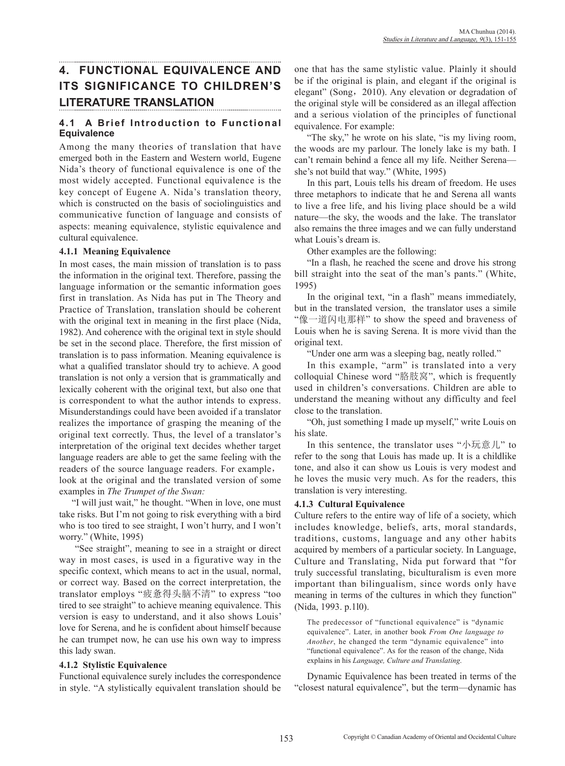# **4. FUNCTIONAL EQUIVALENCE AND ITS SIGNIFICANCE TO CHILDREN'S LITERATURE TRANSLATION**

## **4.1 A Brief Introduction to Functional Equivalence**

Among the many theories of translation that have emerged both in the Eastern and Western world, Eugene Nida's theory of functional equivalence is one of the most widely accepted. Functional equivalence is the key concept of Eugene A. Nida's translation theory, which is constructed on the basis of sociolinguistics and communicative function of language and consists of aspects: meaning equivalence, stylistic equivalence and cultural equivalence.

### **4.1.1 Meaning Equivalence**

In most cases, the main mission of translation is to pass the information in the original text. Therefore, passing the language information or the semantic information goes first in translation. As Nida has put in The Theory and Practice of Translation, translation should be coherent with the original text in meaning in the first place (Nida, 1982). And coherence with the original text in style should be set in the second place. Therefore, the first mission of translation is to pass information. Meaning equivalence is what a qualified translator should try to achieve. A good translation is not only a version that is grammatically and lexically coherent with the original text, but also one that is correspondent to what the author intends to express. Misunderstandings could have been avoided if a translator realizes the importance of grasping the meaning of the original text correctly. Thus, the level of a translator's interpretation of the original text decides whether target language readers are able to get the same feeling with the readers of the source language readers. For example, look at the original and the translated version of some examples in *The Trumpet of the Swan:*

"I will just wait," he thought. "When in love, one must take risks. But I'm not going to risk everything with a bird who is too tired to see straight, I won't hurry, and I won't worry." (White, 1995)

 "See straight", meaning to see in a straight or direct way in most cases, is used in a figurative way in the specific context, which means to act in the usual, normal, or correct way. Based on the correct interpretation, the translator employs "疲惫得头脑不清" to express "too tired to see straight" to achieve meaning equivalence. This version is easy to understand, and it also shows Louis' love for Serena, and he is confident about himself because he can trumpet now, he can use his own way to impress this lady swan.

### **4.1.2 Stylistic Equivalence**

Functional equivalence surely includes the correspondence in style. "A stylistically equivalent translation should be one that has the same stylistic value. Plainly it should be if the original is plain, and elegant if the original is elegant" (Song, 2010). Any elevation or degradation of the original style will be considered as an illegal affection and a serious violation of the principles of functional equivalence. For example:

"The sky," he wrote on his slate, "is my living room, the woods are my parlour. The lonely lake is my bath. I can't remain behind a fence all my life. Neither Serena she's not build that way." (White, 1995)

In this part, Louis tells his dream of freedom. He uses three metaphors to indicate that he and Serena all wants to live a free life, and his living place should be a wild nature—the sky, the woods and the lake. The translator also remains the three images and we can fully understand what Louis's dream is.

Other examples are the following:

"In a flash, he reached the scene and drove his strong bill straight into the seat of the man's pants." (White, 1995)

In the original text, "in a flash" means immediately, but in the translated version, the translator uses a simile "像一道闪电那样" to show the speed and braveness of Louis when he is saving Serena. It is more vivid than the original text.

"Under one arm was a sleeping bag, neatly rolled."

In this example, "arm" is translated into a very colloquial Chinese word "胳肢窝", which is frequently used in children's conversations. Children are able to understand the meaning without any difficulty and feel close to the translation.

"Oh, just something I made up myself," write Louis on his slate.

In this sentence, the translator uses "小玩意儿" to refer to the song that Louis has made up. It is a childlike tone, and also it can show us Louis is very modest and he loves the music very much. As for the readers, this translation is very interesting.

### **4.1.3 Cultural Equivalence**

Culture refers to the entire way of life of a society, which includes knowledge, beliefs, arts, moral standards, traditions, customs, language and any other habits acquired by members of a particular society. In Language, Culture and Translating, Nida put forward that "for truly successful translating, biculturalism is even more important than bilingualism, since words only have meaning in terms of the cultures in which they function" (Nida, 1993. p.1l0).

The predecessor of "functional equivalence" is "dynamic equivalence". Later, in another book *From One language to Another*, he changed the term "dynamic equivalence" into "functional equivalence". As for the reason of the change, Nida explains in his *Language, Culture and Translating*.

Dynamic Equivalence has been treated in terms of the "closest natural equivalence", but the term—dynamic has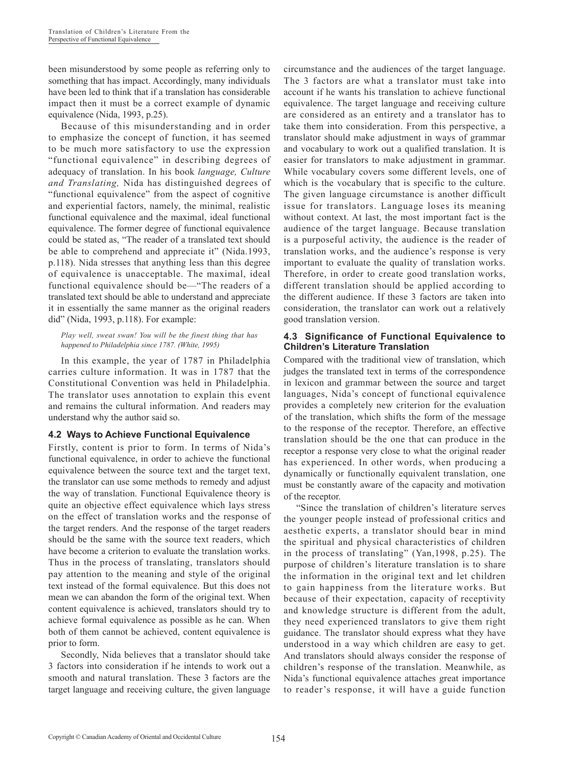been misunderstood by some people as referring only to something that has impact. Accordingly, many individuals have been led to think that if a translation has considerable impact then it must be a correct example of dynamic equivalence (Nida, 1993, p.25).

Because of this misunderstanding and in order to emphasize the concept of function, it has seemed to be much more satisfactory to use the expression "functional equivalence" in describing degrees of adequacy of translation. In his book *language, Culture and Translating,* Nida has distinguished degrees of "functional equivalence" from the aspect of cognitive and experiential factors, namely, the minimal, realistic functional equivalence and the maximal, ideal functional equivalence. The former degree of functional equivalence could be stated as, "The reader of a translated text should be able to comprehend and appreciate it" (Nida.1993, p.118). Nida stresses that anything less than this degree of equivalence is unacceptable. The maximal, ideal functional equivalence should be—"The readers of a translated text should be able to understand and appreciate it in essentially the same manner as the original readers did" (Nida, 1993, p.118). For example:

*Play well, sweat swan! You will be the finest thing that has happened to Philadelphia since 1787. (White, 1995)*

In this example, the year of 1787 in Philadelphia carries culture information. It was in 1787 that the Constitutional Convention was held in Philadelphia. The translator uses annotation to explain this event and remains the cultural information. And readers may understand why the author said so.

### **4.2 Ways to Achieve Functional Equivalence**

Firstly, content is prior to form. In terms of Nida's functional equivalence, in order to achieve the functional equivalence between the source text and the target text, the translator can use some methods to remedy and adjust the way of translation. Functional Equivalence theory is quite an objective effect equivalence which lays stress on the effect of translation works and the response of the target renders. And the response of the target readers should be the same with the source text readers, which have become a criterion to evaluate the translation works. Thus in the process of translating, translators should pay attention to the meaning and style of the original text instead of the formal equivalence. But this does not mean we can abandon the form of the original text. When content equivalence is achieved, translators should try to achieve formal equivalence as possible as he can. When both of them cannot be achieved, content equivalence is prior to form.

Secondly, Nida believes that a translator should take 3 factors into consideration if he intends to work out a smooth and natural translation. These 3 factors are the target language and receiving culture, the given language circumstance and the audiences of the target language. The 3 factors are what a translator must take into account if he wants his translation to achieve functional equivalence. The target language and receiving culture are considered as an entirety and a translator has to take them into consideration. From this perspective, a translator should make adjustment in ways of grammar and vocabulary to work out a qualified translation. It is easier for translators to make adjustment in grammar. While vocabulary covers some different levels, one of which is the vocabulary that is specific to the culture. The given language circumstance is another difficult issue for translators. Language loses its meaning without context. At last, the most important fact is the audience of the target language. Because translation is a purposeful activity, the audience is the reader of translation works, and the audience's response is very important to evaluate the quality of translation works. Therefore, in order to create good translation works, different translation should be applied according to the different audience. If these 3 factors are taken into consideration, the translator can work out a relatively good translation version.

#### **4.3 Significance of Functional Equivalence to Children's Literature Translation**

Compared with the traditional view of translation, which judges the translated text in terms of the correspondence in lexicon and grammar between the source and target languages, Nida's concept of functional equivalence provides a completely new criterion for the evaluation of the translation, which shifts the form of the message to the response of the receptor. Therefore, an effective translation should be the one that can produce in the receptor a response very close to what the original reader has experienced. In other words, when producing a dynamically or functionally equivalent translation, one must be constantly aware of the capacity and motivation of the receptor.

"Since the translation of children's literature serves the younger people instead of professional critics and aesthetic experts, a translator should bear in mind the spiritual and physical characteristics of children in the process of translating" (Yan,1998, p.25). The purpose of children's literature translation is to share the information in the original text and let children to gain happiness from the literature works. But because of their expectation, capacity of receptivity and knowledge structure is different from the adult, they need experienced translators to give them right guidance. The translator should express what they have understood in a way which children are easy to get. And translators should always consider the response of children's response of the translation. Meanwhile, as Nida's functional equivalence attaches great importance to reader's response, it will have a guide function